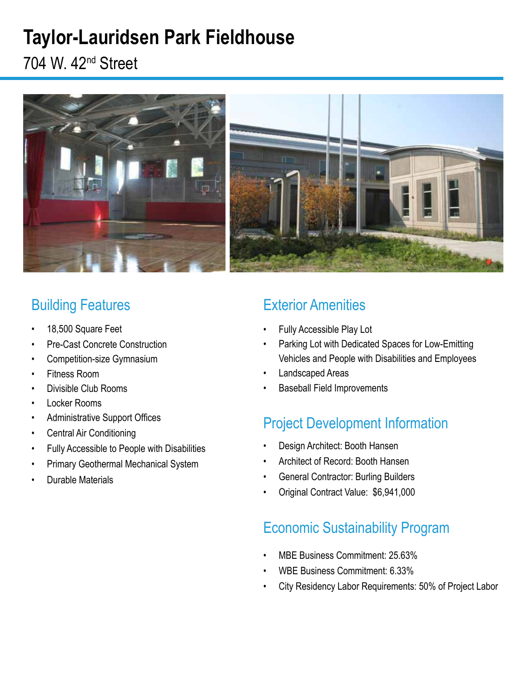# **Taylor-Lauridsen Park Fieldhouse**

704 W. 42nd Street



### Building Features

- 18,500 Square Feet
- Pre-Cast Concrete Construction
- Competition-size Gymnasium
- Fitness Room
- Divisible Club Rooms
- Locker Rooms
- Administrative Support Offices
- Central Air Conditioning
- Fully Accessible to People with Disabilities
- Primary Geothermal Mechanical System
- Durable Materials

## Exterior Amenities

- Fully Accessible Play Lot
- Parking Lot with Dedicated Spaces for Low-Emitting Vehicles and People with Disabilities and Employees
- Landscaped Areas
- Baseball Field Improvements

### Project Development Information

- Design Architect: Booth Hansen
- Architect of Record: Booth Hansen
- General Contractor: Burling Builders
- Original Contract Value: \$6,941,000

### Economic Sustainability Program

- MBE Business Commitment: 25.63%
- WBE Business Commitment: 6.33%
- City Residency Labor Requirements: 50% of Project Labor